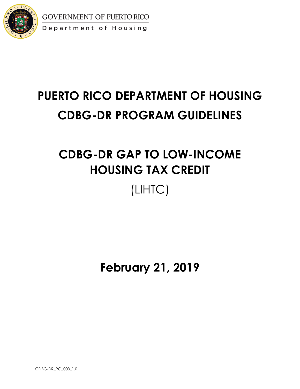

**GOVERNMENT OF PUERTO RICO** Department of Housing

# **PUERTO RICO DEPARTMENT OF HOUSING CDBG-DR PROGRAM GUIDELINES**

## **CDBG-DR GAP TO LOW-INCOME HOUSING TAX CREDIT**

## (LIHTC)

**February 21, 2019**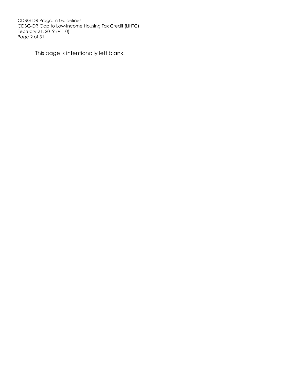CDBG-DR Program Guidelines CDBG-DR Gap to Low-Income Housing Tax Credit (LIHTC) February 21, 2019 (V 1.0) Page 2 of 31

This page is intentionally left blank.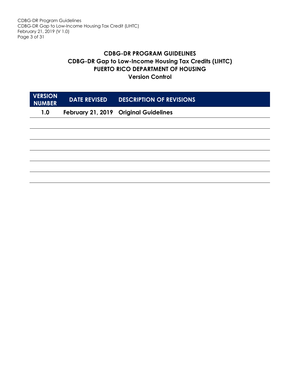#### **CDBG-DR PROGRAM GUIDELINES CDBG-DR Gap to Low-Income Housing Tax Credits (LIHTC) PUERTO RICO DEPARTMENT OF HOUSING Version Control**

| <b>VERSION</b><br><b>NUMBER</b> | <b>DATE REVISED</b> | <b>DESCRIPTION OF REVISIONS</b>       |
|---------------------------------|---------------------|---------------------------------------|
| 1.0                             |                     | February 21, 2019 Original Guidelines |
|                                 |                     |                                       |
|                                 |                     |                                       |
|                                 |                     |                                       |
|                                 |                     |                                       |
|                                 |                     |                                       |
|                                 |                     |                                       |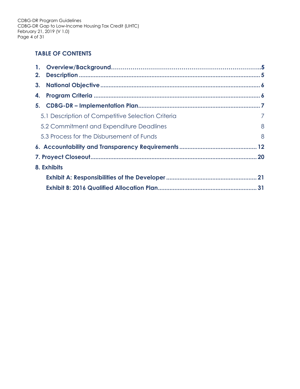## **TABLE OF CONTENTS**

| 2.                                       |                                                   |   |  |
|------------------------------------------|---------------------------------------------------|---|--|
| 3 <sub>1</sub>                           |                                                   |   |  |
| 4.                                       |                                                   |   |  |
|                                          |                                                   |   |  |
|                                          | 5.1 Description of Competitive Selection Criteria | 7 |  |
| 5.2 Commitment and Expenditure Deadlines |                                                   |   |  |
|                                          | 5.3 Process for the Disbursement of Funds         | 8 |  |
|                                          |                                                   |   |  |
|                                          |                                                   |   |  |
|                                          | 8. Exhibits                                       |   |  |
|                                          |                                                   |   |  |
|                                          |                                                   |   |  |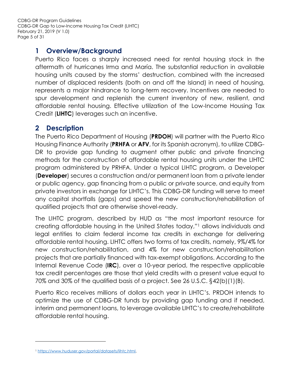CDBG-DR Program Guidelines CDBG-DR Gap to Low-Income Housing Tax Credit (LIHTC) February 21, 2019 (V 1.0) Page 5 of 31

## <span id="page-4-1"></span><span id="page-4-0"></span>**1 Overview/Background**

Puerto Rico faces a sharply increased need for rental housing stock in the aftermath of hurricanes Irma and María. The substantial reduction in available housing units caused by the storms' destruction, combined with the increased number of displaced residents (both on and off the Island) in need of housing, represents a major hindrance to long-term recovery. Incentives are needed to spur development and replenish the current inventory of new, resilient, and affordable rental housing. Effective utilization of the Low-Income Housing Tax Credit (**LIHTC**) leverages such an incentive.

## <span id="page-4-2"></span>**2 Description**

The Puerto Rico Department of Housing (**PRDOH**) will partner with the Puerto Rico Housing Finance Authority (**PRHFA** or **AFV**, for its Spanish acronym), to utilize CDBG-DR to provide gap funding to augment other public and private financing methods for the construction of affordable rental housing units under the LIHTC program administered by PRHFA. Under a typical LIHTC program, a Developer (**Developer**) secures a construction and/or permanent loan from a private lender or public agency, gap financing from a public or private source, and equity from private investors in exchange for LIHTC's. This CDBG-DR funding will serve to meet any capital shortfalls (gaps) and speed the new construction/rehabilitation of qualified projects that are otherwise shovel-ready.

The LIHTC program, described by HUD as "the most important resource for creating affordable housing in the United States today,"<sup>1</sup> allows individuals and legal entities to claim federal income tax credits in exchange for delivering affordable rental housing. LIHTC offers two forms of tax credits, namely, 9%/4% for new construction/rehabilitation, and 4% for new construction/rehabilitation projects that are partially financed with tax-exempt obligations. According to the Internal Revenue Code (**IRC**), over a 10-year period, the respective applicable tax credit percentages are those that yield credits with a present value equal to 70% and 30% of the qualified basis of a project. See 26 U.S.C. §42(b)(1)(B).

Puerto Rico receives millions of dollars each year in LIHTC's. PRDOH intends to optimize the use of CDBG-DR funds by providing gap funding and if needed, interim and permanent loans, to leverage available LIHTC's to create/rehabilitate affordable rental housing.

l

<sup>1</sup> [https://www.huduser.gov/portal/datasets/lihtc.html.](https://www.huduser.gov/portal/datasets/lihtc.html)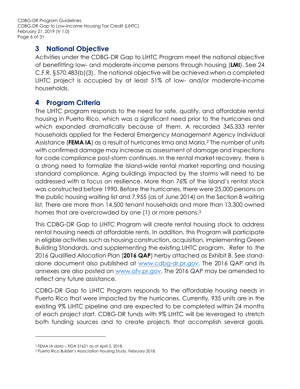CDBG-DR Program Guidelines CDBG-DR Gap to Low-Income Housing Tax Credit (LIHTC) February 21, 2019 (V 1.0) Page 6 of 31

## <span id="page-5-0"></span>**3 National Objective**

Activities under the CDBG-DR Gap to LIHTC Program meet the national objective of benefitting low- and moderate-income persons through housing (**LMI**). See 24 C.F.R. §570.483(b)(3). The national objective will be achieved when a completed LIHTC project is occupied by at least 51% of low- and/or moderate-income households.

## <span id="page-5-1"></span>**4 Program Criteria**

The LIHTC program responds to the need for safe, quality, and affordable rental housing in Puerto Rico, which was a significant need prior to the hurricanes and which expanded dramatically because of them. A recorded 345,333 renter households applied for the Federal Emergency Management Agency Individual Assistance (**FEMA IA**) as a result of hurricanes Irma and Maria.<sup>2</sup> The number of units with confirmed damage may increase as assessment of damage and inspections for code compliance post-storm continues. In the rental market recovery, there is a strong need to formalize the Island-wide rental market reporting and housing standard compliance. Aging buildings impacted by the storms will need to be addressed with a focus on resilience. More than 76% of the Island's rental stock was constructed before 1990. Before the hurricanes, there were 25,000 persons on the public housing waiting list and 7,955 (as of June 2014) on the Section 8 waiting list. There are more than 14,500 tenant households and more than 13,300 owned homes that are overcrowded by one (1) or more persons.<sup>3</sup>

This CDBG-DR Gap to LIHTC Program will create rental housing stock to address rental housing needs at affordable rents. In addition, this Program will participate in eligible activities such as housing construction, acquisition, implementing Green Building Standards, and supplementing the existing LIHTC program. Refer to the 2016 Qualified Allocation Plan (**2016 QAP**) herby attached as Exhibit B. See standalone document also published at [www.cdbg-dr.pr.gov.](http://www.cdbg-dr.pr.gov/) The 2016 QAP and its annexes are also posted on [www.afv.pr.gov.](http://www.afv.pr.gov/) The 2016 QAP may be amended to reflect any future assistance.

CDBG-DR Gap to LIHTC Program responds to the affordable housing needs in Puerto Rico that were impacted by the hurricanes. Currently, 935 units are in the existing 9% LIHTC pipeline and are expected to be completed within 24 months of each project start. CDBG-DR funds with 9% LIHTC will be leveraged to stretch both funding sources and to create projects that accomplish several goals.

 $\overline{a}$ 

<sup>2</sup> FEMA IA data – FIDA 31621 as of April 2, 2018.

<sup>3</sup> Puerto Rico Builder's Association Housing Study, February 2018.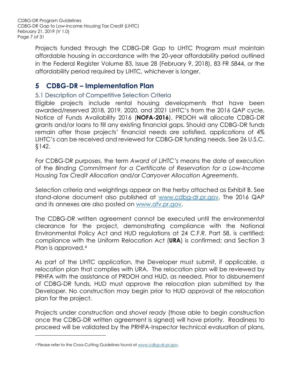CDBG-DR Program Guidelines CDBG-DR Gap to Low-Income Housing Tax Credit (LIHTC) February 21, 2019 (V 1.0) Page 7 of 31

> Projects funded through the CDBG-DR Gap to LIHTC Program must maintain affordable housing in accordance with the 20-year affordability period outlined in the Federal Register Volume 83, Issue 28 (February 9, 2018), 83 FR 5844, or the affordability period required by LIHTC, whichever is longer.

### <span id="page-6-1"></span>**5 CDBG-DR – Implementation Plan**

#### <span id="page-6-0"></span>5.1 Description of Competitive Selection Criteria

Eligible projects include rental housing developments that have been awarded/reserved 2018, 2019, 2020, and 2021 LIHTC's from the 2016 QAP cycle, Notice of Funds Availability 2016 (**NOFA-2016**). PRDOH will allocate CDBG-DR grants and/or loans to fill any existing financial gaps. Should any CDBG-DR funds remain after those projects' financial needs are satisfied, applications of 4% LIHTC's can be received and reviewed for CDBG-DR funding needs. See 26 U.S.C. §142.

For CDBG-DR purposes, the term *Award of LIHTC's* means the date of execution of the *Binding Commitment for a Certificate of Reservation for a Low-Income Housing Tax Credit Allocation* and/or *Carryover Allocation Agreements*.

Selection criteria and weightings appear on the herby attached as Exhibit B. See stand-alone document also published at [www.cdbg-dr.pr.gov.](http://www.cdbg-dr.pr.gov/) The 2016 QAP and its annexes are also posted on [www.afv.pr.gov.](http://www.afv.pr.gov/)

The CDBG-DR written agreement cannot be executed until the environmental clearance for the project, demonstrating compliance with the National Environmental Policy Act and HUD regulations at 24 C.F.R. Part 58, is certified; compliance with the Uniform Relocation Act (**URA**) is confirmed; and Section 3 Plan is approved.<sup>4</sup>

As part of the LIHTC application, the Developer must submit, if applicable, a relocation plan that complies with URA. The relocation plan will be reviewed by PRHFA with the assistance of PRDOH and HUD, as needed. Prior to disbursement of CDBG-DR funds, HUD must approve the relocation plan submitted by the Developer. No construction may begin prior to HUD approval of the relocation plan for the project.

Projects under construction and *shovel ready* (those able to begin construction once the CDBG-DR written agreement is signed) will have priority. Readiness to proceed will be validated by the PRHFA-Inspector technical evaluation of plans,

l

<sup>4</sup> Please refer to the Cross-Cutting Guidelines found at [www.cdbg-dr.pr.gov.](http://www.cdbg-dr.pr.gov/)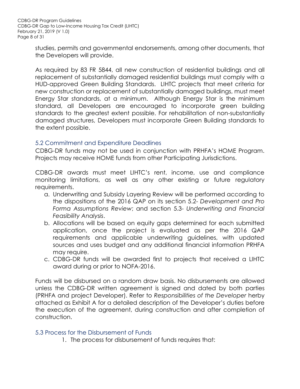studies, permits and governmental endorsements, among other documents, that the Developers will provide.

As required by 83 FR 5844, all new construction of residential buildings and all replacement of substantially damaged residential buildings must comply with a HUD-approved Green Building Standards. LIHTC projects that meet criteria for new construction or replacement of substantially damaged buildings, must meet Energy Star standards, at a minimum. Although Energy Star is the minimum standard, all Developers are encouraged to incorporate green building standards to the greatest extent possible. For rehabilitation of non-substantially damaged structures, Developers must incorporate Green Building standards to the extent possible.

#### <span id="page-7-0"></span>5.2 Commitment and Expenditure Deadlines

CDBG-DR funds may not be used in conjunction with PRHFA's HOME Program. Projects may receive HOME funds from other Participating Jurisdictions.

CDBG-DR awards must meet LIHTC's rent, income, use and compliance monitoring limitations, as well as any other existing or future regulatory requirements.

- a. Underwriting and Subsidy Layering Review will be performed according to the dispositions of the 2016 QAP on its section 5.2- *Development and Pro Forma Assumptions Review*; and section 5.3- *Underwriting and Financial Feasibility Analysis*.
- b. Allocations will be based on equity gaps determined for each submitted application, once the project is evaluated as per the 2016 QAP requirements and applicable underwriting guidelines, with updated sources and uses budget and any additional financial information PRHFA may require.
- c. CDBG-DR funds will be awarded first to projects that received a LIHTC award during or prior to NOFA-2016.

Funds will be disbursed on a random draw basis. No disbursements are allowed unless the CDBG-DR written agreement is signed and dated by both parties (PRHFA and project Developer). Refer to *Responsibilities of the Developer* herby attached as Exhibit A for a detailed description of the Developer's duties before the execution of the agreement, during construction and after completion of construction.

#### <span id="page-7-1"></span>5.3 Process for the Disbursement of Funds

1. The process for disbursement of funds requires that: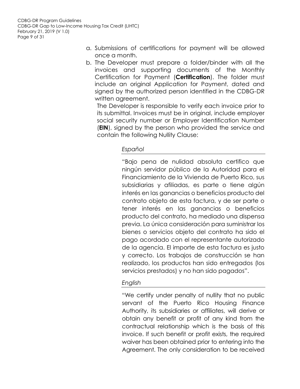- a. Submissions of certifications for payment will be allowed once a month.
- b. The Developer must prepare a folder/binder with all the invoices and supporting documents of the Monthly Certification for Payment (**Certification**). The folder must include an original Application for Payment, dated and signed by the authorized person identified in the CDBG-DR written agreement.

The Developer is responsible to verify each invoice prior to its submittal. Invoices must be in original, include employer social security number or Employer Identification Number (**EIN**), signed by the person who provided the service and contain the following Nullity Clause:

#### *Español*

"Bajo pena de nulidad absoluta certifico que ningún servidor público de la Autoridad para el Financiamiento de la Vivienda de Puerto Rico, sus subsidiarias y afiliadas, es parte o tiene algún interés en las ganancias o beneficios producto del contrato objeto de esta factura, y de ser parte o tener interés en las ganancias o beneficios producto del contrato, ha mediado una dispensa previa. La única consideración para suministrar los bienes o servicios objeto del contrato ha sido el pago acordado con el representante autorizado de la agencia. El importe de esta factura es justo y correcto. Los trabajos de construcción se han realizado, los productos han sido entregados (los servicios prestados) y no han sido pagados".

#### *English*

"We certify under penalty of nullity that no public servant of the Puerto Rico Housing Finance Authority, its subsidiaries or affiliates, will derive or obtain any benefit or profit of any kind from the contractual relationship which is the basis of this invoice. If such benefit or profit exists, the required waiver has been obtained prior to entering into the Agreement. The only consideration to be received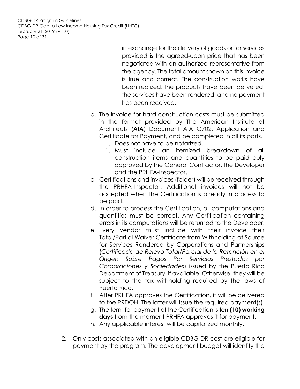CDBG-DR Program Guidelines CDBG-DR Gap to Low-Income Housing Tax Credit (LIHTC) February 21, 2019 (V 1.0) Page 10 of 31

> in exchange for the delivery of goods or for services provided is the agreed-upon price that has been negotiated with an authorized representative from the agency. The total amount shown on this invoice is true and correct. The construction works have been realized, the products have been delivered, the services have been rendered, and no payment has been received."

- b. The invoice for hard construction costs must be submitted in the format provided by The American Institute of Architects (**AIA**) Document AIA G702, Application and Certificate for Payment, and be completed in all its parts.
	- i. Does not have to be notarized.
	- ii. Must include an itemized breakdown of all construction items and quantities to be paid duly approved by the General Contractor, the Developer and the PRHFA-Inspector.
- c. Certifications and invoices (folder) will be received through the PRHFA-Inspector. Additional invoices will not be accepted when the Certification is already in process to be paid.
- d. In order to process the Certification, all computations and quantities must be correct. Any Certification containing errors in its computations will be returned to the Developer.
- e. Every vendor must include with their invoice their Total/Partial Waiver Certificate from Withholding at Source for Services Rendered by Corporations and Partnerships (*Certificado de Relevo Total/Parcial de la Retención en el Origen Sobre Pagos Por Servicios Prestados por Corporaciones y Sociedades*) issued by the Puerto Rico Department of Treasury, if available. Otherwise, they will be subject to the tax withholding required by the laws of Puerto Rico.
- f. After PRHFA approves the Certification, it will be delivered to the PRDOH. The latter will issue the required payment(s).
- g. The term for payment of the Certification is **ten (10) working days** from the moment PRHFA approves it for payment.
- h. Any applicable interest will be capitalized monthly.
- 2. Only costs associated with an eligible CDBG-DR cost are eligible for payment by the program. The development budget will identify the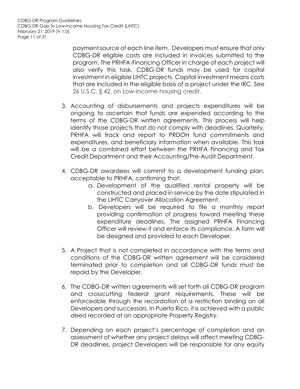CDBG-DR Program Guidelines CDBG-DR Gap to Low-Income Housing Tax Credit (LIHTC) February 21, 2019 (V 1.0) Page 11 of 31

> payment source of each line item. Developers must ensure that only CDBG-DR eligible costs are included in invoices submitted to the program. The PRHFA-Financing Officer in charge of each project will also verify this task. CDBG-DR funds may be used for capital investment in eligible LIHTC projects. Capital investment means costs that are included in the eligible basis of a project under the IRC. See 26 U.S.C. § 42. on Low-income housing credit.

- 3. Accounting of disbursements and projects expenditures will be ongoing to ascertain that funds are expended according to the terms of the CDBG-DR written agreements. This process will help identify those projects that do not comply with deadlines. Quarterly, PRHFA will track and report to PRDOH fund commitments and expenditures, and beneficiary information when available. This task will be a combined effort between the PRHFA Financing and Tax Credit Department and their Accounting/Pre-Audit Department.
- 4. CDBG-DR awardees will commit to a development funding plan, acceptable to PRHFA, confirming that:
	- a. Development of the qualified rental property will be constructed and placed in service by the date stipulated in the LIHTC Carryover Allocation Agreement.
	- b. Developers will be required to file a monthly report providing confirmation of progress toward meeting these expenditure deadlines. The assigned PRHFA Financing Officer will review it and enforce its compliance. A form will be designed and provided to each Developer.
- 5. A Project that is not completed in accordance with the terms and conditions of the CDBG-DR written agreement will be considered terminated prior to completion and all CDBG-DR funds must be repaid by the Developer.
- 6. The CDBG-DR written agreements will set forth all CDBG-DR program and crosscutting federal grant requirements. These will be enforceable through the recordation of a restriction binding on all Developers and successors. In Puerto Rico, it is achieved with a public deed recorded at an appropriate Property Registry.
- 7. Depending on each project's percentage of completion and an assessment of whether any project delays will affect meeting CDBG-DR deadlines, project Developers will be responsible for any equity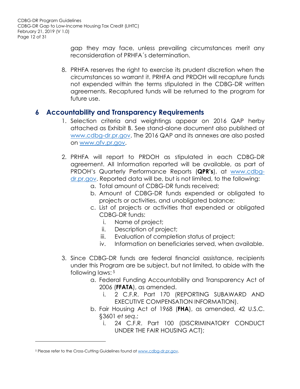gap they may face, unless prevailing circumstances merit any reconsideration of PRHFA´s determination.

8. PRHFA reserves the right to exercise its prudent discretion when the circumstances so warrant it. PRHFA and PRDOH will recapture funds not expended within the terms stipulated in the CDBG-DR written agreements. Recaptured funds will be returned to the program for future use.

### <span id="page-11-0"></span>**6 Accountability and Transparency Requirements**

- 1. Selection criteria and weightings appear on 2016 QAP herby attached as Exhibit B. See stand-alone document also published at [www.cdbg-dr.pr.gov.](http://www.cdbg-dr.pr.gov/) The 2016 QAP and its annexes are also posted on [www.afv.pr.gov.](http://www.bgfpr.com/subsidiaries/housing-finance-authority.html)
- 2. PRHFA will report to PRDOH as stipulated in each CDBG-DR agreement. All Information reported will be available, as part of PRDOH's Quarterly Performance Reports (**QPR's**), at [www.cdbg](http://www.cdbg-dr.pr.gov/)[dr.pr.gov.](http://www.cdbg-dr.pr.gov/) Reported data will be, but is not limited, to the following:
	- a. Total amount of CDBG-DR funds received;
	- b. Amount of CDBG-DR funds expended or obligated to projects or activities, and unobligated balance;
	- c. List of projects or activities that expended or obligated CDBG-DR funds:
		- i. Name of project;
		- ii. Description of project;
		- iii. Evaluation of completion status of project;
		- iv. Information on beneficiaries served, when available.
- 3. Since CDBG-DR funds are federal financial assistance, recipients under this Program are be subject, but not limited, to abide with the following laws: 5
	- a. Federal Funding Accountability and Transparency Act of 2006 (**FFATA**), as amended.
		- i. 2 C.F.R. Part 170 (REPORTING SUBAWARD AND EXECUTIVE COMPENSATION INFORMATION).
	- b. Fair Housing Act of 1968 (**FHA**), as amended, 42 U.S.C. §3601 *et seq*.;
		- i. 24 C.F.R. Part 100 (DISCRIMINATORY CONDUCT UNDER THE FAIR HOUSING ACT);

l

<sup>5</sup> Please refer to the Cross-Cutting Guidelines found at [www.cdbg-dr.pr.gov.](http://www.cdbg-dr.pr.gov/)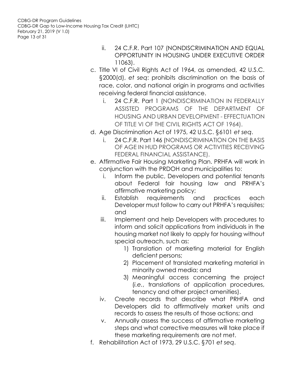CDBG-DR Program Guidelines CDBG-DR Gap to Low-Income Housing Tax Credit (LIHTC) February 21, 2019 (V 1.0) Page 13 of 31

- ii. 24 C.F.R. Part 107 (NONDISCRIMINATION AND EQUAL OPPORTUNITY IN HOUSING UNDER EXECUTIVE ORDER 11063).
- c. Title VI of Civil Rights Act of 1964, as amended, 42 U.S.C. §2000(d), *et seq*: prohibits discrimination on the basis of race, color, and national origin in programs and activities receiving federal financial assistance.
	- i. 24 C.F.R. Part 1 (NONDISCRIMINATION IN FEDERALLY ASSISTED PROGRAMS OF THE DEPARTMENT OF HOUSING AND URBAN DEVELOPMENT - EFFECTUATION OF TITLE VI OF THE CIVIL RIGHTS ACT OF 1964).
- d. Age Discrimination Act of 1975, 42 U.S.C. §6101 *et seq*.
	- i. 24 C.F.R. Part 146 (NONDISCRIMINATION ON THE BASIS OF AGE IN HUD PROGRAMS OR ACTIVITIES RECEIVING FEDERAL FINANCIAL ASSISTANCE).
- e. Affirmative Fair Housing Marketing Plan. PRHFA will work in conjunction with the PRDOH and municipalities to:
	- i. Inform the public, Developers and potential tenants about Federal fair housing law and PRHFA's affirmative marketing policy;
	- ii. Establish requirements and practices each Developer must follow to carry out PRHFA's requisites; and
	- iii. Implement and help Developers with procedures to inform and solicit applications from individuals in the housing market not likely to apply for housing without special outreach, such as:
		- 1) Translation of marketing material for English deficient persons;
		- 2) Placement of translated marketing material in minority owned media; and
		- 3) Meaningful access concerning the project (*i.e.*, translations of application procedures, tenancy and other project amenities).
	- iv. Create records that describe what PRHFA and Developers did to affirmatively market units and records to assess the results of those actions; and
	- v. Annually assess the success of affirmative marketing steps and what corrective measures will take place if these marketing requirements are not met.
- f. Rehabilitation Act of 1973, 29 U.S.C. §701 *et seq*.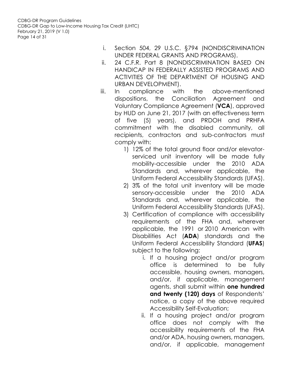- i. Section 504, 29 U.S.C. §794 (NONDISCRIMINATION UNDER FEDERAL GRANTS AND PROGRAMS).
- ii. 24 C.F.R. Part 8 (NONDISCRIMINATION BASED ON HANDICAP IN FEDERALLY ASSISTED PROGRAMS AND ACTIVITIES OF THE DEPARTMENT OF HOUSING AND URBAN DEVELOPMENT).
- iii. In compliance with the above-mentioned dispositions, the Conciliation Agreement and Voluntary Compliance Agreement (**VCA**), approved by HUD on June 21, 2017 (with an effectiveness term of five (5) years), and PRDOH and PRHFA commitment with the disabled community, all recipients, contractors and sub-contractors must comply with:
	- 1) 12% of the total ground floor and/or elevatorserviced unit inventory will be made fully mobility-accessible under the 2010 ADA Standards and, wherever applicable, the Uniform Federal Accessibility Standards (UFAS).
	- 2) 3% of the total unit inventory will be made sensory-accessible under the 2010 ADA Standards and, wherever applicable, the Uniform Federal Accessibility Standards (UFAS).
	- 3) Certification of compliance with accessibility requirements of the FHA and, wherever applicable, the 1991 or 2010 American with Disabilities Act (**ADA**) standards and the Uniform Federal Accessibility Standard (**UFAS**) subject to the following:
		- i. If a housing project and/or program office is determined to be fully accessible, housing owners, managers, and/or, if applicable, management agents, shall submit within **one hundred and twenty (120) days** of Respondents' notice, a copy of the above required Accessibility Self-Evaluation;
		- ii. If a housing project and/or program office does not comply with the accessibility requirements of the FHA and/or ADA, housing owners, managers, and/or, if applicable, management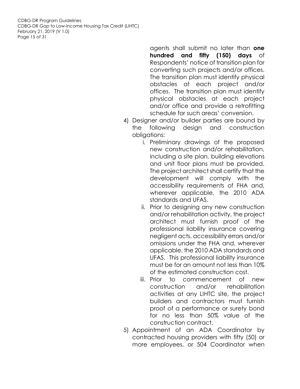CDBG-DR Program Guidelines CDBG-DR Gap to Low-Income Housing Tax Credit (LIHTC) February 21, 2019 (V 1.0) Page 15 of 31

> agents shall submit no later than **one hundred and fifty (150) days** of Respondents' notice of transition plan for converting such projects and/or offices. The transition plan must identify physical obstacles at each project and/or offices. The transition plan must identify physical obstacles at each project and/or office and provide a retrofitting schedule for such areas' conversion.

- 4) Designer and/or builder parties are bound by the following design and construction obligations:
	- i. Preliminary drawings of the proposed new construction and/or rehabilitation, including a site plan, building elevations and unit floor plans must be provided. The project architect shall certify that the development will comply with the accessibility requirements of FHA and, wherever applicable, the 2010 ADA standards and UFAS.
	- ii. Prior to designing any new construction and/or rehabilitation activity, the project architect must furnish proof of the professional liability insurance covering negligent acts, accessibility errors and/or omissions under the FHA and, wherever applicable, the 2010 ADA standards and UFAS. This professional liability insurance must be for an amount not less than 10% of the estimated construction cost.
	- iii. Prior to commencement of new construction and/or rehabilitation activities at any LIHTC site, the project builders and contractors must furnish proof of a performance or surety bond for no less than 50% value of the construction contract.
- 5) Appointment of an ADA Coordinator by contracted housing providers with fifty (50) or more employees, or 504 Coordinator when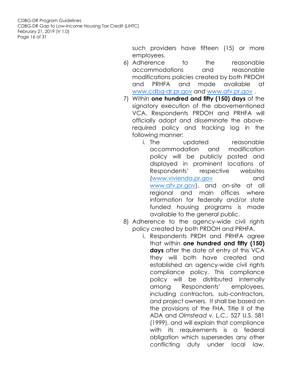CDBG-DR Program Guidelines CDBG-DR Gap to Low-Income Housing Tax Credit (LIHTC) February 21, 2019 (V 1.0) Page 16 of 31

> such providers have fifteen (15) or more employees.

- 6) Adherence to the reasonable accommodations and reasonable modifications policies created by both PRDOH and PRHFA and made available at [www.cdbg-dr.pr.gov](http://www.cdbg-dr.pr.gov/) and [www.afv.pr.gov](http://www.afv.pr.gov/) .
- 7) Within **one hundred and fifty (150) days** of the signatory execution of the abovementioned VCA, Respondents PRDOH and PRHFA will officially adopt and disseminate the aboverequired policy and tracking log in the following manner:
	- i. The updated reasonable accommodation and modification policy will be publicly posted and displayed in prominent locations of Respondents' respective websites www.vivienda.pr.gov and [www.afv.pr.gov\)](http://www.afv.pr.gov/), and on-site at all regional and main offices where information for federally and/or state funded housing programs is made available to the general public.
- 8) Adherence to the agency-wide civil rights policy created by both PRDOH and PRHFA.
	- i. Respondents PRDH and PRHFA agree that within **one hundred and fifty (150) days** after the date of entry of this VCA they will both have created and established an agency-wide civil rights compliance policy. This compliance policy will be distributed internally among Respondents' employees, including contractors, sub-contractors, and project owners. It shall be based on the provisions of the FHA, Title II of the ADA and *Olmstead v. L.C.,* 527 U.S. 581 (1999), and will explain that compliance with its requirements is a federal obligation which supersedes any other conflicting duty under local law,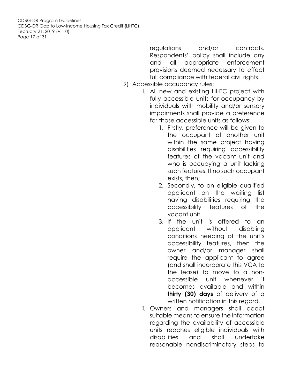CDBG-DR Program Guidelines CDBG-DR Gap to Low-Income Housing Tax Credit (LIHTC) February 21, 2019 (V 1.0) Page 17 of 31

> regulations and/or contracts. Respondents' policy shall include any and all appropriate enforcement provisions deemed necessary to effect full compliance with federal civil rights.

- 9) Accessible occupancy rules:
	- i. All new and existing LIHTC project with fully accessible units for occupancy by individuals with mobility and/or sensory impairments shall provide a preference for those accessible units as follows:
		- 1. Firstly, preference will be given to the occupant of another unit within the same project having disabilities requiring accessibility features of the vacant unit and who is occupying a unit lacking such features. If no such occupant exists, then;
		- 2. Secondly, to an eligible qualified applicant on the waiting list having disabilities requiring the accessibility features of the vacant unit.
		- 3. If the unit is offered to an applicant without disabling conditions needing of the unit's accessibility features, then the owner and/or manager shall require the applicant to agree (and shall incorporate this VCA to the lease) to move to a nonaccessible unit whenever it becomes available and within **thirty (30) days** of delivery of a written notification in this regard.
	- ii. Owners and managers shall adopt suitable means to ensure the information regarding the availability of accessible units reaches eligible individuals with disabilities and shall undertake reasonable nondiscriminatory steps to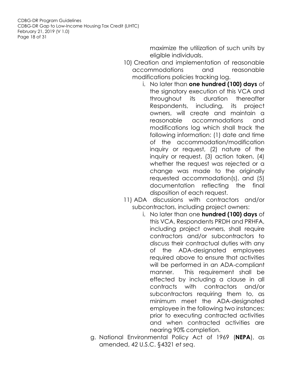CDBG-DR Program Guidelines CDBG-DR Gap to Low-Income Housing Tax Credit (LIHTC) February 21, 2019 (V 1.0) Page 18 of 31

> maximize the utilization of such units by eligible individuals.

- 10) Creation and implementation of reasonable accommodations and reasonable modifications policies tracking log.
	- i. No later than **one hundred (100) days** of the signatory execution of this VCA and throughout its duration thereafter Respondents, including, its project owners, will create and maintain a reasonable accommodations and modifications log which shall track the following information: (1) date and time of the accommodation/modification inquiry or request, (2) nature of the inquiry or request, (3) action taken, (4) whether the request was rejected or a change was made to the originally requested accommodation(s), and (5) documentation reflecting the final disposition of each request.
- 11) ADA discussions with contractors and/or subcontractors, including project owners:
	- i. No later than one **hundred (100) days** of this VCA, Respondents PRDH and PRHFA, including project owners, shall require contractors and/or subcontractors to discuss their contractual duties with any of the ADA-designated employees required above to ensure that activities will be performed in an ADA-compliant manner. This requirement shall be effected by including a clause in all contracts with contractors and/or subcontractors requiring them to, as minimum meet the ADA-designated employee in the following two instances: prior to executing contracted activities and when contracted activities are nearing 90% completion.
- g. National Environmental Policy Act of 1969 (**NEPA**), as amended, 42 U.S.C. §4321 *et seq*.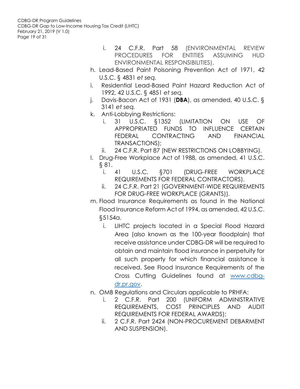CDBG-DR Program Guidelines CDBG-DR Gap to Low-Income Housing Tax Credit (LIHTC) February 21, 2019 (V 1.0) Page 19 of 31

- i. 24 C.F.R. Part 58 (ENVIRONMENTAL REVIEW PROCEDURES FOR ENTITIES ASSUMING HUD ENVIRONMENTAL RESPONSIBILITIES).
- h. Lead-Based Paint Poisoning Prevention Act of 1971, 42 U.S.C. § 4831 *et seq.*
- i. Residential Lead-Based Paint Hazard Reduction Act of 1992, 42 U.S.C. § 4851 *et seq.*
- j. Davis-Bacon Act of 1931 (**DBA**), as amended, 40 U.S.C. § 3141 *et seq.*
- k. Anti-Lobbying Restrictions:
	- i. 31 U.S.C. §1352 (LIMITATION ON USE OF APPROPRIATED FUNDS TO INFLUENCE CERTAIN FEDERAL CONTRACTING AND FINANCIAL TRANSACTIONS);
	- ii. 24 C.F.R. Part 87 (NEW RESTRICTIONS ON LOBBYING).
- l. Drug-Free Workplace Act of 1988, as amended, 41 U.S.C. § 81.
	- i. 41 U.S.C. §701 (DRUG-FREE WORKPLACE REQUIREMENTS FOR FEDERAL CONTRACTORS).
	- ii. 24 C.F.R. Part 21 (GOVERNMENT-WIDE REQUIREMENTS FOR DRUG-FREE WORKPLACE (GRANTS)).
- m. Flood Insurance Requirements as found in the National Flood Insurance Reform Act of 1994, as amended, 42 U.S.C. §5154a.
	- i. LIHTC projects located in a Special Flood Hazard Area (also known as the 100-year floodplain) that receive assistance under CDBG-DR will be required to obtain and maintain flood insurance in perpetuity for all such property for which financial assistance is received. See Flood Insurance Requirements of the Cross Cutting Guidelines found at [www.cdbg](http://www.cdbg-dr.pr.gov/)[dr.pr.gov.](http://www.cdbg-dr.pr.gov/)
- n. OMB Regulations and Circulars applicable to PRHFA:
	- i. 2 C.F.R. Part 200 (UNIFORM ADMINISTRATIVE REQUIREMENTS, COST PRINCIPLES AND AUDIT REQUIREMENTS FOR FEDERAL AWARDS);
	- ii. 2 C.F.R. Part 2424 (NON-PROCUREMENT DEBARMENT AND SUSPENSION).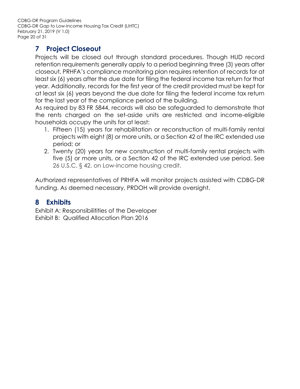CDBG-DR Program Guidelines CDBG-DR Gap to Low-Income Housing Tax Credit (LIHTC) February 21, 2019 (V 1.0) Page 20 of 31

## **7 Project Closeout**

Projects will be closed out through standard procedures. Though HUD record retention requirements generally apply to a period beginning three (3) years after closeout, PRHFA's compliance monitoring plan requires retention of records for at least six (6) years after the due date for filing the federal income tax return for that year. Additionally, records for the first year of the credit provided must be kept for at least six (6) years beyond the due date for filing the federal income tax return for the last year of the compliance period of the building.

As required by 83 FR 5844, records will also be safeguarded to demonstrate that the rents charged on the set-aside units are restricted and income-eligible households occupy the units for at least:

- 1. Fifteen (15) years for rehabilitation or reconstruction of multi-family rental projects with eight (8) or more units, or a Section 42 of the IRC extended use period; or
- 2. Twenty (20) years for new construction of multi-family rental projects with five (5) or more units, or a Section 42 of the IRC extended use period. See 26 U.S.C. § 42. on Low-income housing credit.

Authorized representatives of PRHFA will monitor projects assisted with CDBG-DR funding. As deemed necessary, PRDOH will provide oversight.

## **8 Exhibits**

Exhibit A: Responsibilitities of the Developer Exhibit B: Qualified Allocation Plan 2016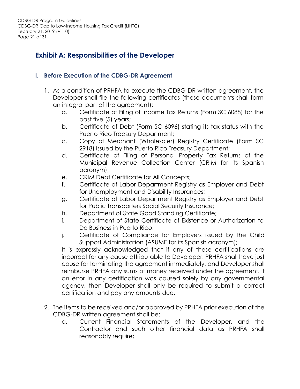## <span id="page-20-0"></span>**Exhibit A: Responsibilities of the Developer**

#### **I. Before Execution of the CDBG-DR Agreement**

- 1. As a condition of PRHFA to execute the CDBG-DR written agreement, the Developer shall file the following certificates (these documents shall form an integral part of the agreement):
	- a. Certificate of Filing of Income Tax Returns (Form SC 6088) for the past five (5) years;
	- b. Certificate of Debt (Form SC 6096) stating its tax status with the Puerto Rico Treasury Department;
	- c. Copy of Merchant (Wholesaler) Registry Certificate (Form SC 2918) issued by the Puerto Rico Treasury Department;
	- d. Certificate of Filing of Personal Property Tax Returns of the Municipal Revenue Collection Center (CRIM for its Spanish acronym);
	- e. CRIM Debt Certificate for All Concepts;
	- f. Certificate of Labor Department Registry as Employer and Debt for Unemployment and Disability Insurances;
	- g. Certificate of Labor Department Registry as Employer and Debt for Public Transporters Social Security Insurance;
	- h. Department of State Good Standing Certificate;
	- i. Department of State Certificate of Existence or Authorization to Do Business in Puerto Rico;
	- j. Certificate of Compliance for Employers issued by the Child Support Administration (ASUME for its Spanish acronym);

It is expressly acknowledged that if any of these certifications are incorrect for any cause attributable to Developer, PRHFA shall have just cause for terminating the agreement immediately, and Developer shall reimburse PRHFA any sums of money received under the agreement. If an error in any certification was caused solely by any governmental agency, then Developer shall only be required to submit a correct certification and pay any amounts due.

- 2. The items to be received and/or approved by PRHFA prior execution of the CDBG-DR written agreement shall be:
	- a. Current Financial Statements of the Developer, and the Contractor and such other financial data as PRHFA shall reasonably require;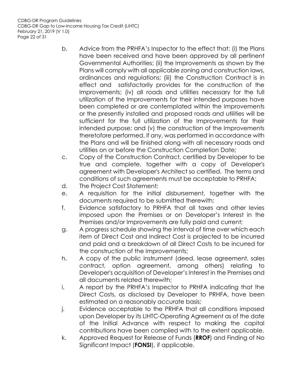CDBG-DR Program Guidelines CDBG-DR Gap to Low-Income Housing Tax Credit (LIHTC) February 21, 2019 (V 1.0) Page 22 of 31

- b. Advice from the PRHFA's Inspector to the effect that: (i) the Plans have been received and have been approved by all pertinent Governmental Authorities; (ii) the Improvements as shown by the Plans will comply with all applicable zoning and construction laws, ordinances and regulations; (iii) the Construction Contract is in effect and satisfactorily provides for the construction of the Improvements; (iv) all roads and utilities necessary for the full utilization of the Improvements for their intended purposes have been completed or are contemplated within the Improvements or the presently installed and proposed roads and utilities will be sufficient for the full utilization of the Improvements for their intended purpose; and (v) the construction of the Improvements theretofore performed, if any, was performed in accordance with the Plans and will be finished along with all necessary roads and utilities on or before the Construction Completion Date;
- c. Copy of the Construction Contract, certified by Developer to be true and complete, together with a copy of Developer's agreement with Developer's Architect so certified. The terms and conditions of such agreements must be acceptable to PRHFA;
- d. The Project Cost Statement;
- e. A requisition for the initial disbursement, together with the documents required to be submitted therewith;
- f. Evidence satisfactory to PRHFA that all taxes and other levies imposed upon the Premises or on Developer's Interest in the Premises and/or Improvements are fully paid and current;
- g. A progress schedule showing the interval of time over which each item of Direct Cost and Indirect Cost is projected to be incurred and paid and a breakdown of all Direct Costs to be incurred for the construction of the Improvements;
- h. A copy of the public instrument (deed, lease agreement, sales contract, option agreement, among others) relating to Developer's acquisition of Developer's Interest in the Premises and all documents related therewith;
- i. A report by the PRHFA's Inspector to PRHFA indicating that the Direct Costs, as disclosed by Developer to PRHFA, have been estimated on a reasonably accurate basis;
- j. Evidence acceptable to the PRHFA that all conditions imposed upon Developer by its LIHTC-Operating Agreement as of the date of the Initial Advance with respect to making the capital contributions have been complied with to the extent applicable.
- k. Approved Request for Release of Funds (**RROF**) and Finding of No Significant Impact (**FONSI**), if applicable.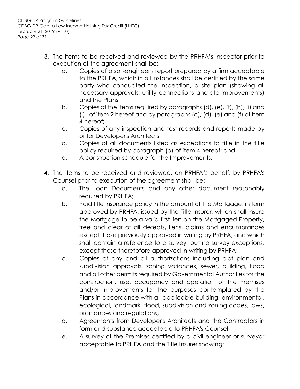- 3. The items to be received and reviewed by the PRHFA's Inspector prior to execution of the agreement shall be:
	- a. Copies of a soil-engineer's report prepared by a firm acceptable to the PRHFA, which in all instances shall be certified by the same party who conducted the inspection, a site plan (showing all necessary approvals, utility connections and site improvements) and the Plans;
	- b. Copies of the items required by paragraphs (d), (e), (f), (h), (i) and (l) of item 2 hereof and by paragraphs (c), (d), (e) and (f) of item 4 hereof;
	- c. Copies of any inspection and test records and reports made by or for Developer's Architects;
	- d. Copies of all documents listed as exceptions to title in the title policy required by paragraph (b) of item 4 hereof; and
	- e. A construction schedule for the Improvements.
- 4. The items to be received and reviewed, on PRHFA's behalf, by PRHFA's Counsel prior to execution of the agreement shall be:
	- a. The Loan Documents and any other document reasonably required by PRHFA;
	- b. Paid title insurance policy in the amount of the Mortgage, in form approved by PRHFA, issued by the Title Insurer, which shall insure the Mortgage to be a valid first lien on the Mortgaged Property, free and clear of all defects, liens, claims and encumbrances except those previously approved in writing by PRHFA, and which shall contain a reference to a survey, but no survey exceptions, except those theretofore approved in writing by PRHFA;
	- c. Copies of any and all authorizations including plot plan and subdivision approvals, zoning variances, sewer, building, flood and all other permits required by Governmental Authorities for the construction, use, occupancy and operation of the Premises and/or Improvements for the purposes contemplated by the Plans in accordance with all applicable building, environmental, ecological, landmark, flood, subdivision and zoning codes, laws, ordinances and regulations;
	- d. Agreements from Developer's Architects and the Contractors in form and substance acceptable to PRHFA's Counsel;
	- e. A survey of the Premises certified by a civil engineer or surveyor acceptable to PRHFA and the Title Insurer showing: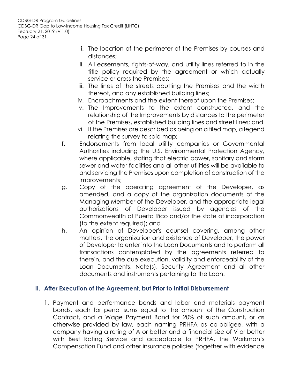CDBG-DR Program Guidelines CDBG-DR Gap to Low-Income Housing Tax Credit (LIHTC) February 21, 2019 (V 1.0) Page 24 of 31

- i. The location of the perimeter of the Premises by courses and distances;
- ii. All easements, rights-of-way, and utility lines referred to in the title policy required by the agreement or which actually service or cross the Premises;
- iii. The lines of the streets abutting the Premises and the width thereof, and any established building lines;
- iv. Encroachments and the extent thereof upon the Premises;
- v. The Improvements to the extent constructed, and the relationship of the Improvements by distances to the perimeter of the Premises, established building lines and street lines; and
- vi. If the Premises are described as being on a filed map, a legend relating the survey to said map;
- f. Endorsements from local utility companies or Governmental Authorities including the U.S. Environmental Protection Agency, where applicable, stating that electric power, sanitary and storm sewer and water facilities and all other utilities will be available to and servicing the Premises upon completion of construction of the Improvements;
- g. Copy of the operating agreement of the Developer, as amended, and a copy of the organization documents of the Managing Member of the Developer, and the appropriate legal authorizations of Developer issued by agencies of the Commonwealth of Puerto Rico and/or the state of incorporation (to the extent required); and
- h. An opinion of Developer's counsel covering, among other matters, the organization and existence of Developer, the power of Developer to enter into the Loan Documents and to perform all transactions contemplated by the agreements referred to therein, and the due execution, validity and enforceability of the Loan Documents, Note(s), Security Agreement and all other documents and instruments pertaining to the Loan.

#### **II. After Execution of the Agreement, but Prior to Initial Disbursement**

1. Payment and performance bonds and labor and materials payment bonds, each for penal sums equal to the amount of the Construction Contract, and a Wage Payment Bond for 20% of such amount, or as otherwise provided by law, each naming PRHFA as co-obligee, with a company having a rating of A or better and a financial size of V or better with Best Rating Service and acceptable to PRHFA, the Workman's Compensation Fund and other insurance policies (together with evidence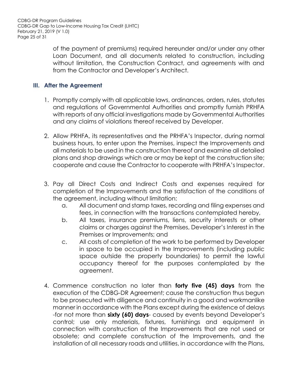CDBG-DR Program Guidelines CDBG-DR Gap to Low-Income Housing Tax Credit (LIHTC) February 21, 2019 (V 1.0) Page 25 of 31

> of the payment of premiums) required hereunder and/or under any other Loan Document, and all documents related to construction, including without limitation, the Construction Contract, and agreements with and from the Contractor and Developer's Architect.

#### **III. After the Agreement**

- 1. Promptly comply with all applicable laws, ordinances, orders, rules, statutes and regulations of Governmental Authorities and promptly furnish PRHFA with reports of any official investigations made by Governmental Authorities and any claims of violations thereof received by Developer.
- 2. Allow PRHFA, its representatives and the PRHFA's Inspector, during normal business hours, to enter upon the Premises, inspect the Improvements and all materials to be used in the construction thereof and examine all detailed plans and shop drawings which are or may be kept at the construction site; cooperate and cause the Contractor to cooperate with PRHFA's Inspector.
- 3. Pay all Direct Costs and Indirect Costs and expenses required for completion of the Improvements and the satisfaction of the conditions of the agreement, including without limitation:
	- a. All document and stamp taxes, recording and filing expenses and fees, in connection with the transactions contemplated hereby,
	- b. All taxes, insurance premiums, liens, security interests or other claims or charges against the Premises, Developer's Interest in the Premises or Improvements; and
	- c. All costs of completion of the work to be performed by Developer in space to be occupied in the Improvements (including public space outside the property boundaries) to permit the lawful occupancy thereof for the purposes contemplated by the agreement.
- 4. Commence construction no later than **forty five (45) days** from the execution of the CDBG-DR Agreement; cause the construction thus begun to be prosecuted with diligence and continuity in a good and workmanlike manner in accordance with the Plans except during the existence of delays -for not more than **sixty (60) days**- caused by events beyond Developer's control; use only materials, fixtures, furnishings and equipment in connection with construction of the Improvements that are not used or obsolete; and complete construction of the Improvements, and the installation of all necessary roads and utilities, in accordance with the Plans,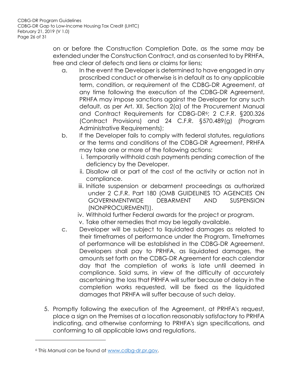on or before the Construction Completion Date, as the same may be extended under the Construction Contract, and as consented to by PRHFA, free and clear of defects and liens or claims for liens;

- a. In the event the Developer is determined to have engaged in any proscribed conduct or otherwise is in default as to any applicable term, condition, or requirement of the CDBG-DR Agreement, at any time following the execution of the CDBG-DR Agreement, PRHFA may impose sanctions against the Developer for any such default, as per Art. XII, Section 2(a) of the Procurement Manual and Contract Requirements for CDBG-DR6; 2 C.F.R. §200.326 (Contract Provisions) and 24 C.F.R. §570.489(g) (Program Administrative Requirements);
- b. If the Developer fails to comply with federal statutes, regulations or the terms and conditions of the CDBG-DR Agreement, PRHFA may take one or more of the following actions:
	- i. Temporarily withhold cash payments pending correction of the deficiency by the Developer.
	- ii. Disallow all or part of the cost of the activity or action not in compliance.
	- iii. Initiate suspension or debarment proceedings as authorized under 2 C.F.R. Part 180 (OMB GUIDELINES TO AGENCIES ON GOVERNMENTWIDE DEBARMENT AND SUSPENSION (NONPROCUREMENT)).
	- iv. Withhold further Federal awards for the project or program.
	- v. Take other remedies that may be legally available.
- c. Developer will be subject to liquidated damages as related to their timeframes of performance under the Program. Timeframes of performance will be established in the CDBG-DR Agreement. Developers shall pay to PRHFA, as liquidated damages, the amounts set forth on the CDBG-DR Agreement for each calendar day that the completion of works is late until deemed in compliance. Said sums, in view of the difficulty of accurately ascertaining the loss that PRHFA will suffer because of delay in the completion works requested, will be fixed as the liquidated damages that PRHFA will suffer because of such delay.
- 5. Promptly following the execution of the Agreement, at PRHFA's request, place a sign on the Premises at a location reasonably satisfactory to PRHFA indicating, and otherwise conforming to PRHFA's sign specifications, and conforming to all applicable laws and regulations.

l

<sup>6</sup> This Manual can be found at [www.cdbg-dr.pr.gov.](http://www.cdbg-dr.pr.gov/)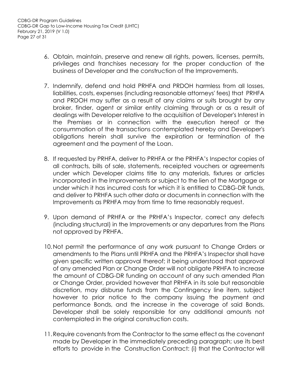- 6. Obtain, maintain, preserve and renew all rights, powers, licenses, permits, privileges and franchises necessary for the proper conduction of the business of Developer and the construction of the Improvements.
- 7. Indemnify, defend and hold PRHFA and PRDOH harmless from all losses, liabilities, costs, expenses (including reasonable attorneys' fees) that PRHFA and PRDOH may suffer as a result of any claims or suits brought by any broker, finder, agent or similar entity claiming through or as a result of dealings with Developer relative to the acquisition of Developer's Interest in the Premises or in connection with the execution hereof or the consummation of the transactions contemplated hereby and Developer's obligations herein shall survive the expiration or termination of the agreement and the payment of the Loan.
- 8. If requested by PRHFA, deliver to PRHFA or the PRHFA's Inspector copies of all contracts, bills of sale, statements, receipted vouchers or agreements under which Developer claims title to any materials, fixtures or articles incorporated in the Improvements or subject to the lien of the Mortgage or under which it has incurred costs for which it is entitled to CDBG-DR funds, and deliver to PRHFA such other data or documents in connection with the Improvements as PRHFA may from time to time reasonably request.
- 9. Upon demand of PRHFA or the PRHFA's Inspector, correct any defects (including structural) in the Improvements or any departures from the Plans not approved by PRHFA.
- 10.Not permit the performance of any work pursuant to Change Orders or amendments to the Plans until PRHFA and the PRHFA's Inspector shall have given specific written approval thereof; it being understood that approval of any amended Plan or Change Order will not obligate PRHFA to increase the amount of CDBG-DR funding on account of any such amended Plan or Change Order, provided however that PRHFA in its sole but reasonable discretion, may disburse funds from the Contingency line item, subject however to prior notice to the company issuing the payment and performance Bonds, and the increase in the coverage of said Bonds. Developer shall be solely responsible for any additional amounts not contemplated in the original construction costs.
- 11.Require covenants from the Contractor to the same effect as the covenant made by Developer in the immediately preceding paragraph; use its best efforts to provide in the Construction Contract: (i) that the Contractor will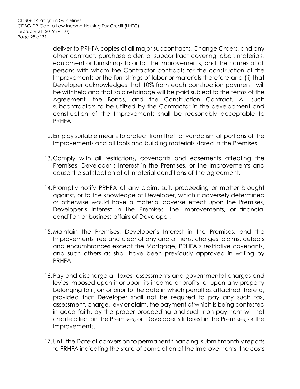deliver to PRHFA copies of all major subcontracts, Change Orders, and any other contract, purchase order, or subcontract covering labor, materials, equipment or furnishings to or for the Improvements, and the names of all persons with whom the Contractor contracts for the construction of the Improvements or the furnishings of labor or materials therefore and (ii) that Developer acknowledges that 10% from each construction payment will be withheld and that said retainage will be paid subject to the terms of the Agreement, the Bonds, and the Construction Contract. All such subcontractors to be utilized by the Contractor in the development and construction of the Improvements shall be reasonably acceptable to PRHFA.

- 12.Employ suitable means to protect from theft or vandalism all portions of the Improvements and all tools and building materials stored in the Premises.
- 13. Comply with all restrictions, covenants and easements affecting the Premises, Developer's Interest in the Premises, or the Improvements and cause the satisfaction of all material conditions of the agreement.
- 14.Promptly notify PRHFA of any claim, suit, proceeding or matter brought against, or to the knowledge of Developer, which if adversely determined or otherwise would have a material adverse effect upon the Premises, Developer's Interest in the Premises, the Improvements, or financial condition or business affairs of Developer.
- 15.Maintain the Premises, Developer's Interest in the Premises, and the Improvements free and clear of any and all liens, charges, claims, defects and encumbrances except the Mortgage, PRHFA's restrictive covenants, and such others as shall have been previously approved in writing by PRHFA.
- 16.Pay and discharge all taxes, assessments and governmental charges and levies imposed upon it or upon its income or profits, or upon any property belonging to it, on or prior to the date in which penalties attached thereto, provided that Developer shall not be required to pay any such tax, assessment, charge, levy or claim, the payment of which is being contested in good faith, by the proper proceeding and such non-payment will not create a lien on the Premises, on Developer's Interest in the Premises, or the Improvements.
- 17.Until the Date of conversion to permanent financing, submit monthly reports to PRHFA indicating the state of completion of the Improvements, the costs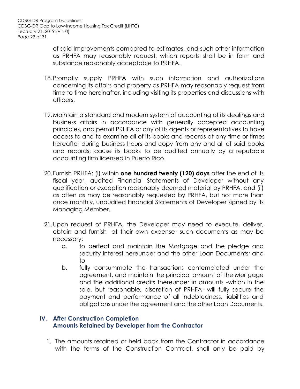of said Improvements compared to estimates, and such other information as PRHFA may reasonably request, which reports shall be in form and substance reasonably acceptable to PRHFA.

- 18.Promptly supply PRHFA with such information and authorizations concerning its affairs and property as PRHFA may reasonably request from time to time hereinafter, including visiting its properties and discussions with officers.
- 19.Maintain a standard and modern system of accounting of its dealings and business affairs in accordance with generally accepted accounting principles, and permit PRHFA or any of its agents or representatives to have access to and to examine all of its books and records at any time or times hereafter during business hours and copy from any and all of said books and records; cause its books to be audited annually by a reputable accounting firm licensed in Puerto Rico.
- 20.Furnish PRHFA: (i) within **one hundred twenty (120) days** after the end of its fiscal year, audited Financial Statements of Developer without any qualification or exception reasonably deemed material by PRHFA, and (ii) as often as may be reasonably requested by PRHFA, but not more than once monthly, unaudited Financial Statements of Developer signed by its Managing Member.
- 21.Upon request of PRHFA, the Developer may need to execute, deliver, obtain and furnish -at their own expense- such documents as may be necessary:
	- a. to perfect and maintain the Mortgage and the pledge and security interest hereunder and the other Loan Documents; and to
	- b. fully consummate the transactions contemplated under the agreement, and maintain the principal amount of the Mortgage and the additional credits thereunder in amounts -which in the sole, but reasonable, discretion of PRHFA- will fully secure the payment and performance of all indebtedness, liabilities and obligations under the agreement and the other Loan Documents.

#### **IV. After Construction Completion Amounts Retained by Developer from the Contractor**

1. The amounts retained or held back from the Contractor in accordance with the terms of the Construction Contract, shall only be paid by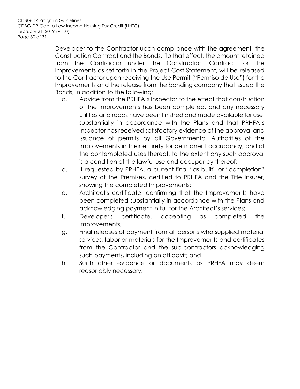Developer to the Contractor upon compliance with the agreement, the Construction Contract and the Bonds. To that effect, the amount retained from the Contractor under the Construction Contract for the Improvements as set forth in the Project Cost Statement, will be released to the Contractor upon receiving the Use Permit ("Permiso de Uso") for the Improvements and the release from the bonding company that issued the Bonds, in addition to the following:

- c. Advice from the PRHFA's Inspector to the effect that construction of the Improvements has been completed, and any necessary utilities and roads have been finished and made available for use, substantially in accordance with the Plans and that PRHFA's Inspector has received satisfactory evidence of the approval and issuance of permits by all Governmental Authorities of the Improvements in their entirety for permanent occupancy, and of the contemplated uses thereof, to the extent any such approval is a condition of the lawful use and occupancy thereof;
- d. If requested by PRHFA, a current final "as built" or "completion" survey of the Premises, certified to PRHFA and the Title Insurer, showing the completed Improvements;
- e. Architect's certificate, confirming that the Improvements have been completed substantially in accordance with the Plans and acknowledging payment in full for the Architect's services;
- f. Developer's certificate, accepting as completed the Improvements;
- g. Final releases of payment from all persons who supplied material services, labor or materials for the Improvements and certificates from the Contractor and the sub-contractors acknowledging such payments, including an affidavit; and
- h. Such other evidence or documents as PRHFA may deem reasonably necessary.